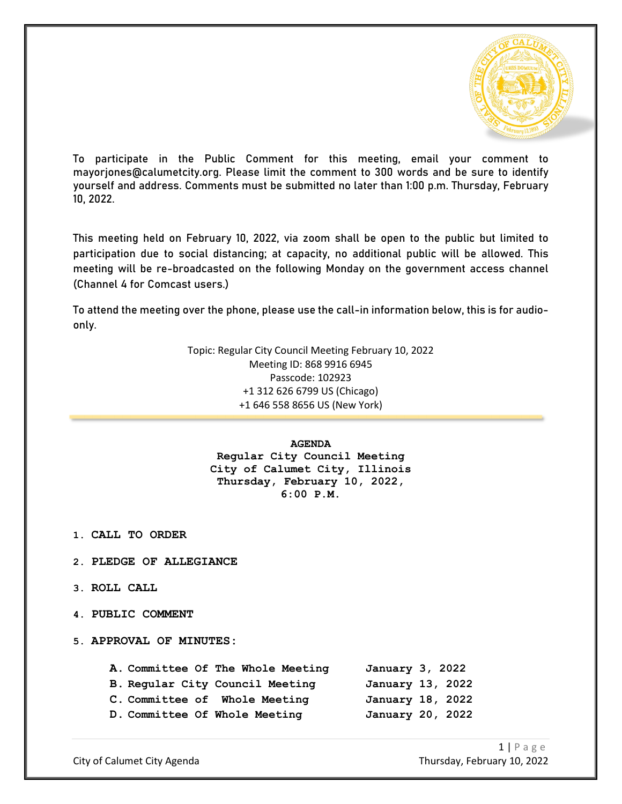

To participate in the Public Comment for this meeting, email your comment to mayorjones@calumetcity.org. Please limit the comment to 300 words and be sure to identify yourself and address. Comments must be submitted no later than 1:00 p.m. Thursday, February 10, 2022.

This meeting held on February 10, 2022, via zoom shall be open to the public but limited to participation due to social distancing; at capacity, no additional public will be allowed. This meeting will be re-broadcasted on the following Monday on the government access channel (Channel 4 for Comcast users.)

To attend the meeting over the phone, please use the call-in information below, this is for audioonly.

> Topic: Regular City Council Meeting February 10, 2022 Meeting ID: 868 9916 6945 Passcode: 102923 +1 312 626 6799 US (Chicago) +1 646 558 8656 US (New York)

> > **AGENDA**

**Regular City Council Meeting City of Calumet City, Illinois Thursday, February 10, 2022, 6:00 P.M.**

- **1. CALL TO ORDER**
- **2. PLEDGE OF ALLEGIANCE**
- **3. ROLL CALL**
- **4. PUBLIC COMMENT**
- **5. APPROVAL OF MINUTES:**

|  | A. Committee Of The Whole Meeting | January 3, 2022  |  |
|--|-----------------------------------|------------------|--|
|  | B. Regular City Council Meeting   | January 13, 2022 |  |
|  | C. Committee of Whole Meeting     | January 18, 2022 |  |
|  | D. Committee Of Whole Meeting     | January 20, 2022 |  |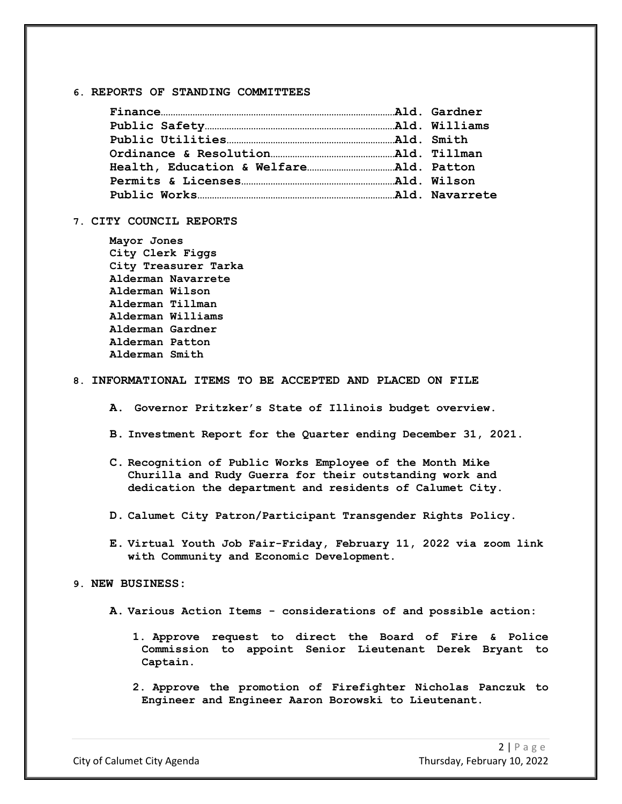#### **6. REPORTS OF STANDING COMMITTEES**

# **7. CITY COUNCIL REPORTS**

**Mayor Jones City Clerk Figgs City Treasurer Tarka Alderman Navarrete Alderman Wilson Alderman Tillman Alderman Williams Alderman Gardner Alderman Patton Alderman Smith**

## **8. INFORMATIONAL ITEMS TO BE ACCEPTED AND PLACED ON FILE**

- **A. Governor Pritzker's State of Illinois budget overview.**
- **B. Investment Report for the Quarter ending December 31, 2021.**
- **C. Recognition of Public Works Employee of the Month Mike Churilla and Rudy Guerra for their outstanding work and dedication the department and residents of Calumet City.**
- **D. Calumet City Patron/Participant Transgender Rights Policy.**
- **E. Virtual Youth Job Fair-Friday, February 11, 2022 via zoom link with Community and Economic Development.**

### **9. NEW BUSINESS:**

- **A. Various Action Items - considerations of and possible action:**
	- **1. Approve request to direct the Board of Fire & Police Commission to appoint Senior Lieutenant Derek Bryant to Captain.**
	- **2. Approve the promotion of Firefighter Nicholas Panczuk to Engineer and Engineer Aaron Borowski to Lieutenant.**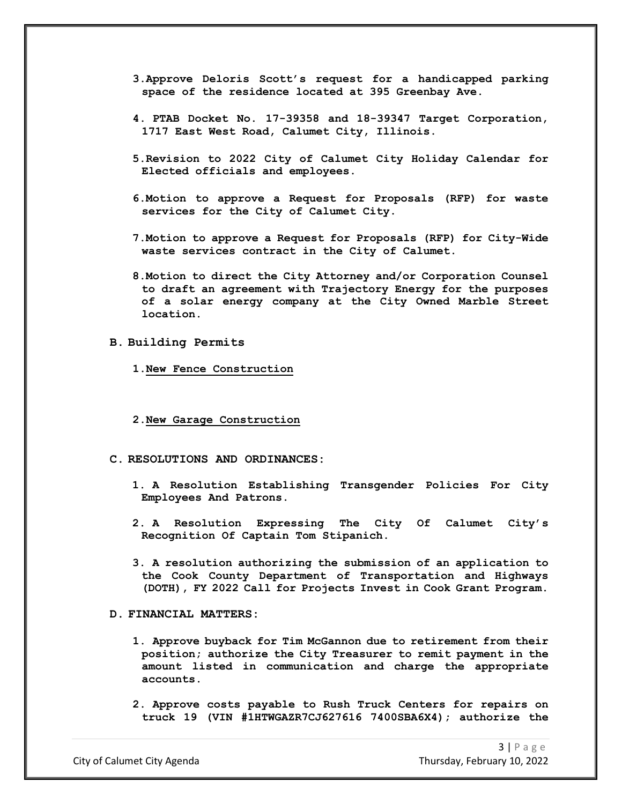- **3.Approve Deloris Scott's request for a handicapped parking space of the residence located at 395 Greenbay Ave.**
- **4. PTAB Docket No. 17-39358 and 18-39347 Target Corporation, 1717 East West Road, Calumet City, Illinois.**
- **5.Revision to 2022 City of Calumet City Holiday Calendar for Elected officials and employees.**
- **6.Motion to approve a Request for Proposals (RFP) for waste services for the City of Calumet City.**
- **7.Motion to approve a Request for Proposals (RFP) for City-Wide waste services contract in the City of Calumet.**
- **8.Motion to direct the City Attorney and/or Corporation Counsel to draft an agreement with Trajectory Energy for the purposes of a solar energy company at the City Owned Marble Street location.**
- **B. Building Permits**
	- **1.New Fence Construction**
	- **2.New Garage Construction**
- **C. RESOLUTIONS AND ORDINANCES:**
	- **1. A Resolution Establishing Transgender Policies For City Employees And Patrons.**
	- **2. A Resolution Expressing The City Of Calumet City's Recognition Of Captain Tom Stipanich.**
	- **3. A resolution authorizing the submission of an application to the Cook County Department of Transportation and Highways (DOTH), FY 2022 Call for Projects Invest in Cook Grant Program.**

#### **D. FINANCIAL MATTERS:**

- **1. Approve buyback for Tim McGannon due to retirement from their position; authorize the City Treasurer to remit payment in the amount listed in communication and charge the appropriate accounts.**
- **2. Approve costs payable to Rush Truck Centers for repairs on truck 19 (VIN #1HTWGAZR7CJ627616 7400SBA6X4); authorize the**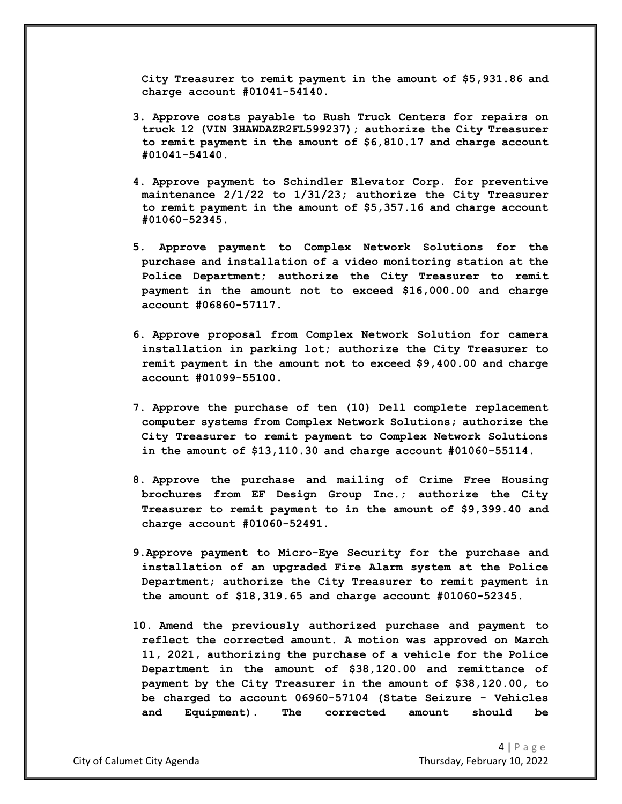**City Treasurer to remit payment in the amount of \$5,931.86 and charge account #01041-54140.**

- **3. Approve costs payable to Rush Truck Centers for repairs on truck 12 (VIN 3HAWDAZR2FL599237); authorize the City Treasurer to remit payment in the amount of \$6,810.17 and charge account #01041-54140.**
- **4. Approve payment to Schindler Elevator Corp. for preventive maintenance 2/1/22 to 1/31/23; authorize the City Treasurer to remit payment in the amount of \$5,357.16 and charge account #01060-52345.**
- **5. Approve payment to Complex Network Solutions for the purchase and installation of a video monitoring station at the Police Department; authorize the City Treasurer to remit payment in the amount not to exceed \$16,000.00 and charge account #06860-57117.**
- **6. Approve proposal from Complex Network Solution for camera installation in parking lot; authorize the City Treasurer to remit payment in the amount not to exceed \$9,400.00 and charge account #01099-55100.**
- **7. Approve the purchase of ten (10) Dell complete replacement computer systems from Complex Network Solutions; authorize the City Treasurer to remit payment to Complex Network Solutions in the amount of \$13,110.30 and charge account #01060-55114.**
- **8. Approve the purchase and mailing of Crime Free Housing brochures from EF Design Group Inc.; authorize the City Treasurer to remit payment to in the amount of \$9,399.40 and charge account #01060-52491.**
- **9.Approve payment to Micro-Eye Security for the purchase and installation of an upgraded Fire Alarm system at the Police Department; authorize the City Treasurer to remit payment in the amount of \$18,319.65 and charge account #01060-52345.**
- **10. Amend the previously authorized purchase and payment to reflect the corrected amount. A motion was approved on March 11, 2021, authorizing the purchase of a vehicle for the Police Department in the amount of \$38,120.00 and remittance of payment by the City Treasurer in the amount of \$38,120.00, to be charged to account 06960-57104 (State Seizure - Vehicles and Equipment). The corrected amount should be**